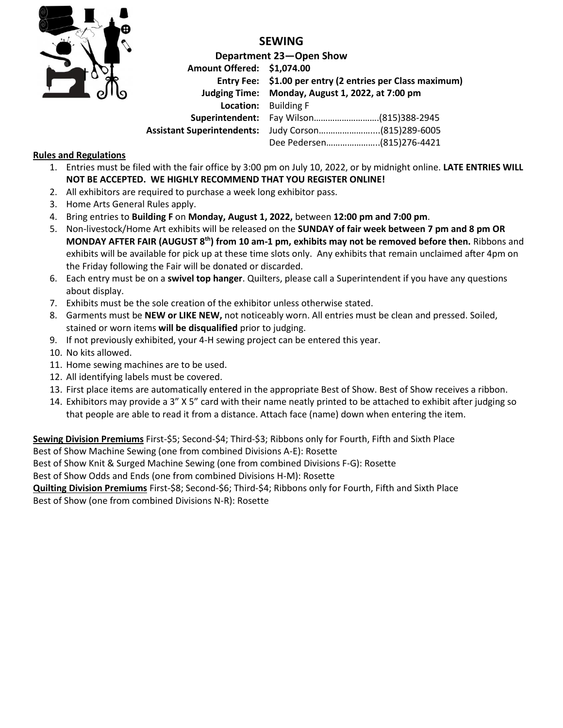

**SEWING**

**Department 23—Open Show Amount Offered: \$1,074.00 Entry Fee: \$1.00 per entry (2 entries per Class maximum) Judging Time: Monday, August 1, 2022, at 7:00 pm Location:** Building F **Superintendent:** Fay Wilson……………………….(815)388-2945 **Assistant Superintendents:** Judy Corson….………………....(815)289-6005 Dee Pedersen…………………..(815)276-4421

## **Rules and Regulations**

- 1. Entries must be filed with the fair office by 3:00 pm on July 10, 2022, or by midnight online. **LATE ENTRIES WILL NOT BE ACCEPTED. WE HIGHLY RECOMMEND THAT YOU REGISTER ONLINE!**
- 2. All exhibitors are required to purchase a week long exhibitor pass.
- 3. Home Arts General Rules apply.
- 4. Bring entries to **Building F** on **Monday, August 1, 2022,** between **12:00 pm and 7:00 pm**.
- 5. Non-livestock/Home Art exhibits will be released on the **SUNDAY of fair week between 7 pm and 8 pm OR MONDAY AFTER FAIR (AUGUST 8 th) from 10 am-1 pm, exhibits may not be removed before then.** Ribbons and exhibits will be available for pick up at these time slots only. Any exhibits that remain unclaimed after 4pm on the Friday following the Fair will be donated or discarded.
- 6. Each entry must be on a **swivel top hanger**. Quilters, please call a Superintendent if you have any questions about display.
- 7. Exhibits must be the sole creation of the exhibitor unless otherwise stated.
- 8. Garments must be **NEW or LIKE NEW,** not noticeably worn. All entries must be clean and pressed. Soiled, stained or worn items **will be disqualified** prior to judging.
- 9. If not previously exhibited, your 4-H sewing project can be entered this year.
- 10. No kits allowed.
- 11. Home sewing machines are to be used.
- 12. All identifying labels must be covered.
- 13. First place items are automatically entered in the appropriate Best of Show. Best of Show receives a ribbon.
- 14. Exhibitors may provide a 3" X 5" card with their name neatly printed to be attached to exhibit after judging so that people are able to read it from a distance. Attach face (name) down when entering the item.

**Sewing Division Premiums** First-\$5; Second-\$4; Third-\$3; Ribbons only for Fourth, Fifth and Sixth Place

Best of Show Machine Sewing (one from combined Divisions A-E): Rosette

Best of Show Knit & Surged Machine Sewing (one from combined Divisions F-G): Rosette

Best of Show Odds and Ends (one from combined Divisions H-M): Rosette

**Quilting Division Premiums** First-\$8; Second-\$6; Third-\$4; Ribbons only for Fourth, Fifth and Sixth Place

Best of Show (one from combined Divisions N-R): Rosette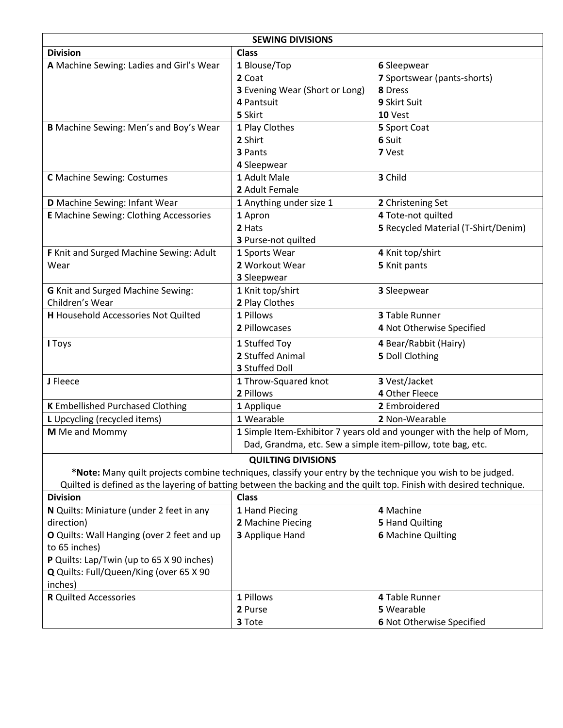| <b>SEWING DIVISIONS</b>                                                                                             |                                                                       |                                     |  |  |  |  |
|---------------------------------------------------------------------------------------------------------------------|-----------------------------------------------------------------------|-------------------------------------|--|--|--|--|
| <b>Division</b>                                                                                                     | <b>Class</b>                                                          |                                     |  |  |  |  |
| A Machine Sewing: Ladies and Girl's Wear                                                                            | 1 Blouse/Top                                                          | 6 Sleepwear                         |  |  |  |  |
|                                                                                                                     | 2 Coat                                                                | 7 Sportswear (pants-shorts)         |  |  |  |  |
|                                                                                                                     | 3 Evening Wear (Short or Long)                                        | 8 Dress                             |  |  |  |  |
|                                                                                                                     | 4 Pantsuit                                                            | 9 Skirt Suit                        |  |  |  |  |
|                                                                                                                     | 5 Skirt                                                               | 10 Vest                             |  |  |  |  |
| B Machine Sewing: Men's and Boy's Wear                                                                              | 1 Play Clothes                                                        | 5 Sport Coat                        |  |  |  |  |
|                                                                                                                     | 2 Shirt                                                               | 6 Suit                              |  |  |  |  |
|                                                                                                                     | 3 Pants                                                               | 7 Vest                              |  |  |  |  |
|                                                                                                                     | 4 Sleepwear                                                           |                                     |  |  |  |  |
| <b>C</b> Machine Sewing: Costumes                                                                                   | 1 Adult Male                                                          | 3 Child                             |  |  |  |  |
|                                                                                                                     | 2 Adult Female                                                        |                                     |  |  |  |  |
| D Machine Sewing: Infant Wear                                                                                       | 1 Anything under size 1                                               | 2 Christening Set                   |  |  |  |  |
| <b>E</b> Machine Sewing: Clothing Accessories                                                                       | 1 Apron                                                               | 4 Tote-not quilted                  |  |  |  |  |
|                                                                                                                     | 2 Hats                                                                | 5 Recycled Material (T-Shirt/Denim) |  |  |  |  |
|                                                                                                                     | 3 Purse-not quilted                                                   |                                     |  |  |  |  |
| F Knit and Surged Machine Sewing: Adult                                                                             | 1 Sports Wear                                                         | 4 Knit top/shirt                    |  |  |  |  |
| Wear                                                                                                                | 2 Workout Wear                                                        | 5 Knit pants                        |  |  |  |  |
|                                                                                                                     | 3 Sleepwear                                                           |                                     |  |  |  |  |
| <b>G</b> Knit and Surged Machine Sewing:                                                                            | 1 Knit top/shirt                                                      | 3 Sleepwear                         |  |  |  |  |
| Children's Wear                                                                                                     | 2 Play Clothes                                                        |                                     |  |  |  |  |
| <b>H</b> Household Accessories Not Quilted                                                                          | 1 Pillows                                                             | 3 Table Runner                      |  |  |  |  |
|                                                                                                                     | 2 Pillowcases                                                         | 4 Not Otherwise Specified           |  |  |  |  |
| I Toys                                                                                                              | 1 Stuffed Toy                                                         | 4 Bear/Rabbit (Hairy)               |  |  |  |  |
|                                                                                                                     | 2 Stuffed Animal                                                      | 5 Doll Clothing                     |  |  |  |  |
|                                                                                                                     | <b>3 Stuffed Doll</b>                                                 |                                     |  |  |  |  |
| J Fleece                                                                                                            | 1 Throw-Squared knot                                                  | 3 Vest/Jacket                       |  |  |  |  |
|                                                                                                                     | 2 Pillows                                                             | 4 Other Fleece                      |  |  |  |  |
| <b>K</b> Embellished Purchased Clothing                                                                             | 1 Applique                                                            | 2 Embroidered                       |  |  |  |  |
| L Upcycling (recycled items)                                                                                        | 1 Wearable<br>2 Non-Wearable                                          |                                     |  |  |  |  |
| M Me and Mommy                                                                                                      | 1 Simple Item-Exhibitor 7 years old and younger with the help of Mom, |                                     |  |  |  |  |
|                                                                                                                     | Dad, Grandma, etc. Sew a simple item-pillow, tote bag, etc.           |                                     |  |  |  |  |
|                                                                                                                     | <b>QUILTING DIVISIONS</b>                                             |                                     |  |  |  |  |
| *Note: Many quilt projects combine techniques, classify your entry by the technique you wish to be judged.          |                                                                       |                                     |  |  |  |  |
| Quilted is defined as the layering of batting between the backing and the quilt top. Finish with desired technique. |                                                                       |                                     |  |  |  |  |
| <b>Division</b>                                                                                                     | <b>Class</b>                                                          |                                     |  |  |  |  |
| N Quilts: Miniature (under 2 feet in any                                                                            | 1 Hand Piecing                                                        | 4 Machine                           |  |  |  |  |
| direction)                                                                                                          | 2 Machine Piecing                                                     | 5 Hand Quilting                     |  |  |  |  |
| O Quilts: Wall Hanging (over 2 feet and up                                                                          | 3 Applique Hand                                                       | <b>6 Machine Quilting</b>           |  |  |  |  |
| to 65 inches)                                                                                                       |                                                                       |                                     |  |  |  |  |
| P Quilts: Lap/Twin (up to 65 X 90 inches)                                                                           |                                                                       |                                     |  |  |  |  |
| Q Quilts: Full/Queen/King (over 65 X 90                                                                             |                                                                       |                                     |  |  |  |  |
| inches)                                                                                                             |                                                                       |                                     |  |  |  |  |
| <b>R</b> Quilted Accessories                                                                                        | 1 Pillows                                                             | 4 Table Runner                      |  |  |  |  |
|                                                                                                                     | 2 Purse                                                               | 5 Wearable                          |  |  |  |  |
|                                                                                                                     | 3 Tote                                                                | 6 Not Otherwise Specified           |  |  |  |  |
|                                                                                                                     |                                                                       |                                     |  |  |  |  |